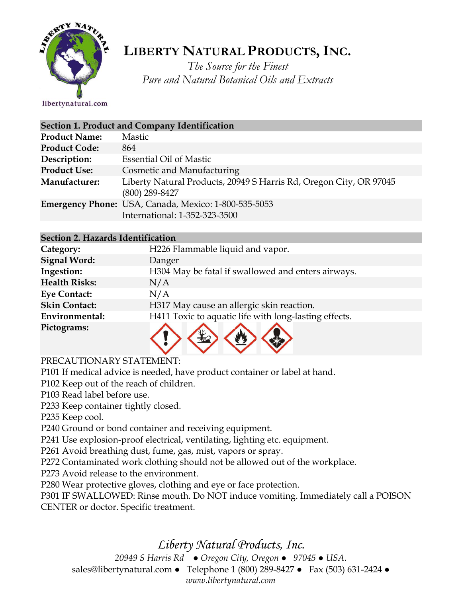

# **LIBERTY NATURAL PRODUCTS,INC.**

*The Source for the Finest Pure and Natural Botanical Oils and Extracts*

libertynatural.com

| Section 1. Product and Company Identification |                                                                                        |  |
|-----------------------------------------------|----------------------------------------------------------------------------------------|--|
| <b>Product Name:</b>                          | Mastic                                                                                 |  |
| <b>Product Code:</b>                          | 864                                                                                    |  |
| Description:                                  | <b>Essential Oil of Mastic</b>                                                         |  |
| <b>Product Use:</b>                           | Cosmetic and Manufacturing                                                             |  |
| Manufacturer:                                 | Liberty Natural Products, 20949 S Harris Rd, Oregon City, OR 97045<br>$(800)$ 289-8427 |  |
|                                               | Emergency Phone: USA, Canada, Mexico: 1-800-535-5053                                   |  |
|                                               | International: 1-352-323-3500                                                          |  |
|                                               |                                                                                        |  |

## **Section 2. Hazards Identification**

| Category:            | H226 Flammable liquid and vapor.                      |
|----------------------|-------------------------------------------------------|
| <b>Signal Word:</b>  | Danger                                                |
| Ingestion:           | H304 May be fatal if swallowed and enters airways.    |
| <b>Health Risks:</b> | N/A                                                   |
| <b>Eye Contact:</b>  | N/A                                                   |
| <b>Skin Contact:</b> | H317 May cause an allergic skin reaction.             |
| Environmental:       | H411 Toxic to aquatic life with long-lasting effects. |
| Pictograms:          |                                                       |

V V V V

## PRECAUTIONARY STATEMENT:

P101 If medical advice is needed, have product container or label at hand.

P102 Keep out of the reach of children.

P103 Read label before use.

P233 Keep container tightly closed.

P235 Keep cool.

P240 Ground or bond container and receiving equipment.

P241 Use explosion-proof electrical, ventilating, lighting etc. equipment.

P261 Avoid breathing dust, fume, gas, mist, vapors or spray.

P272 Contaminated work clothing should not be allowed out of the workplace.

P273 Avoid release to the environment.

P280 Wear protective gloves, clothing and eye or face protection.

P301 IF SWALLOWED: Rinse mouth. Do NOT induce vomiting. Immediately call a POISON CENTER or doctor. Specific treatment.

## *Liberty Natural Products, Inc.*

*20949 S Harris Rd ● Oregon City, Oregon ● 97045 ● USA.*  sales@libertynatural.com *●* Telephone 1 (800) 289-8427 ● Fax (503) 631-2424 *●*

*www.libertynatural.com*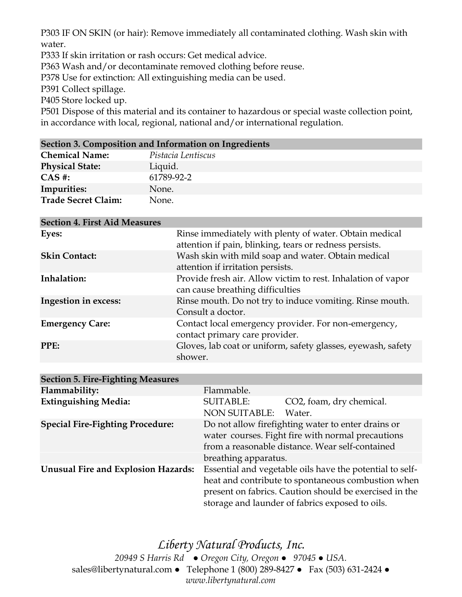P303 IF ON SKIN (or hair): Remove immediately all contaminated clothing. Wash skin with water.

P333 If skin irritation or rash occurs: Get medical advice.

P363 Wash and/or decontaminate removed clothing before reuse.

P378 Use for extinction: All extinguishing media can be used.

P391 Collect spillage.

P405 Store locked up.

P501 Dispose of this material and its container to hazardous or special waste collection point, in accordance with local, regional, national and/or international regulation.

#### **Section 3. Composition and Information on Ingredients**

| <b>Chemical Name:</b>      | Pistacia Lentiscus |
|----------------------------|--------------------|
| <b>Physical State:</b>     | Liquid.            |
| $CAS$ #:                   | 61789-92-2         |
| Impurities:                | None.              |
| <b>Trade Secret Claim:</b> | None.              |

| <b>Section 4. First Aid Measures</b> |                                                                                                                   |
|--------------------------------------|-------------------------------------------------------------------------------------------------------------------|
| Eyes:                                | Rinse immediately with plenty of water. Obtain medical<br>attention if pain, blinking, tears or redness persists. |
| <b>Skin Contact:</b>                 | Wash skin with mild soap and water. Obtain medical<br>attention if irritation persists.                           |
| Inhalation:                          | Provide fresh air. Allow victim to rest. Inhalation of vapor<br>can cause breathing difficulties                  |
| <b>Ingestion in excess:</b>          | Rinse mouth. Do not try to induce vomiting. Rinse mouth.<br>Consult a doctor.                                     |
| <b>Emergency Care:</b>               | Contact local emergency provider. For non-emergency,<br>contact primary care provider.                            |
| PPE:                                 | Gloves, lab coat or uniform, safety glasses, eyewash, safety<br>shower.                                           |
|                                      |                                                                                                                   |

| <b>Section 5. Fire-Fighting Measures</b>   |                                                                                                                                                                                    |                                                                                                                                                                                                                             |
|--------------------------------------------|------------------------------------------------------------------------------------------------------------------------------------------------------------------------------------|-----------------------------------------------------------------------------------------------------------------------------------------------------------------------------------------------------------------------------|
| Flammability:                              | Flammable.                                                                                                                                                                         |                                                                                                                                                                                                                             |
| <b>Extinguishing Media:</b>                | <b>SUITABLE:</b><br><b>NON SUITABLE:</b>                                                                                                                                           | CO2, foam, dry chemical.<br>Water.                                                                                                                                                                                          |
| <b>Special Fire-Fighting Procedure:</b>    | Do not allow firefighting water to enter drains or<br>water courses. Fight fire with normal precautions<br>from a reasonable distance. Wear self-contained<br>breathing apparatus. |                                                                                                                                                                                                                             |
| <b>Unusual Fire and Explosion Hazards:</b> |                                                                                                                                                                                    | Essential and vegetable oils have the potential to self-<br>heat and contribute to spontaneous combustion when<br>present on fabrics. Caution should be exercised in the<br>storage and launder of fabrics exposed to oils. |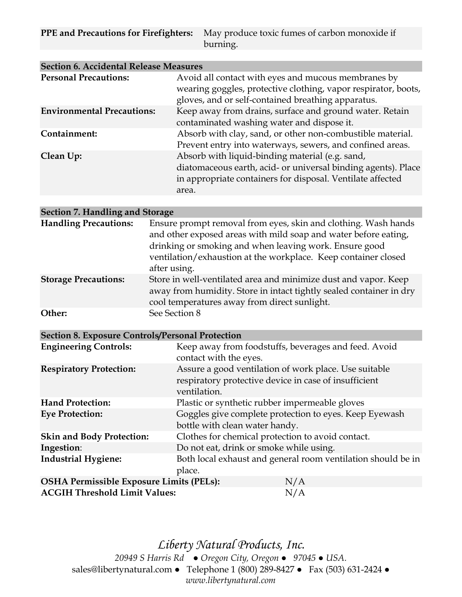**PPE and Precautions for Firefighters:** May produce toxic fumes of carbon monoxide if burning.

| <b>Section 6. Accidental Release Measures</b> |                                                                                                                                                                                         |  |
|-----------------------------------------------|-----------------------------------------------------------------------------------------------------------------------------------------------------------------------------------------|--|
| <b>Personal Precautions:</b>                  | Avoid all contact with eyes and mucous membranes by<br>wearing goggles, protective clothing, vapor respirator, boots,<br>gloves, and or self-contained breathing apparatus.             |  |
| <b>Environmental Precautions:</b>             | Keep away from drains, surface and ground water. Retain<br>contaminated washing water and dispose it.                                                                                   |  |
| Containment:                                  | Absorb with clay, sand, or other non-combustible material.<br>Prevent entry into waterways, sewers, and confined areas.                                                                 |  |
| Clean Up:                                     | Absorb with liquid-binding material (e.g. sand,<br>diatomaceous earth, acid- or universal binding agents). Place<br>in appropriate containers for disposal. Ventilate affected<br>area. |  |
|                                               |                                                                                                                                                                                         |  |
| <b>Section 7. Handling and Storage</b>        |                                                                                                                                                                                         |  |

| <b>Handling Precautions:</b> | Ensure prompt removal from eyes, skin and clothing. Wash hands      |
|------------------------------|---------------------------------------------------------------------|
|                              | and other exposed areas with mild soap and water before eating,     |
|                              | drinking or smoking and when leaving work. Ensure good              |
|                              | ventilation/exhaustion at the workplace. Keep container closed      |
|                              | after using.                                                        |
| <b>Storage Precautions:</b>  | Store in well-ventilated area and minimize dust and vapor. Keep     |
|                              | away from humidity. Store in intact tightly sealed container in dry |
|                              | cool temperatures away from direct sunlight.                        |
| Other:                       | See Section 8                                                       |

## **Section 8. Exposure Controls/Personal Protection**

| <b>Engineering Controls:</b>                    | Keep away from foodstuffs, beverages and feed. Avoid<br>contact with the eyes.                                                 |
|-------------------------------------------------|--------------------------------------------------------------------------------------------------------------------------------|
| <b>Respiratory Protection:</b>                  | Assure a good ventilation of work place. Use suitable<br>respiratory protective device in case of insufficient<br>ventilation. |
| <b>Hand Protection:</b>                         | Plastic or synthetic rubber impermeable gloves                                                                                 |
| <b>Eye Protection:</b>                          | Goggles give complete protection to eyes. Keep Eyewash                                                                         |
|                                                 | bottle with clean water handy.                                                                                                 |
| <b>Skin and Body Protection:</b>                | Clothes for chemical protection to avoid contact.                                                                              |
| Ingestion:                                      | Do not eat, drink or smoke while using.                                                                                        |
| <b>Industrial Hygiene:</b>                      | Both local exhaust and general room ventilation should be in<br>place.                                                         |
| <b>OSHA Permissible Exposure Limits (PELs):</b> | N/A                                                                                                                            |
| <b>ACGIH Threshold Limit Values:</b>            | N/A                                                                                                                            |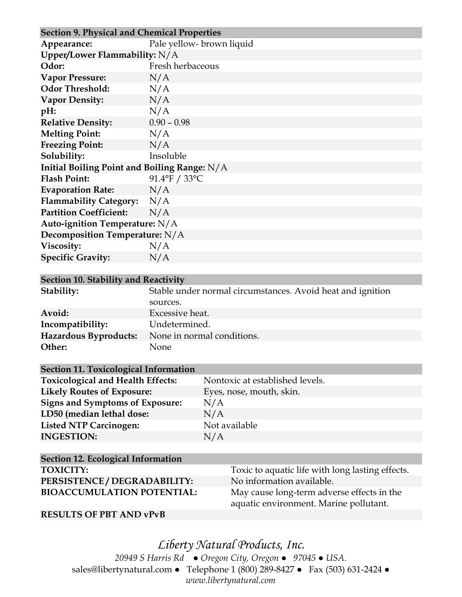| <b>Section 9. Physical and Chemical Properties</b> |                          |  |
|----------------------------------------------------|--------------------------|--|
| Appearance:                                        | Pale yellow-brown liquid |  |
| Upper/Lower Flammability: $N/A$                    |                          |  |
| Odor:                                              | Fresh herbaceous         |  |
| <b>Vapor Pressure:</b>                             | N/A                      |  |
| <b>Odor Threshold:</b>                             | N/A                      |  |
| <b>Vapor Density:</b>                              | N/A                      |  |
| pH:                                                | N/A                      |  |
| <b>Relative Density:</b>                           | $0.90 - 0.98$            |  |
| <b>Melting Point:</b>                              | N/A                      |  |
| <b>Freezing Point:</b>                             | N/A                      |  |
| Solubility:                                        | Insoluble                |  |
| Initial Boiling Point and Boiling Range: $N/A$     |                          |  |
| <b>Flash Point:</b>                                | 91.4°F / 33°C            |  |
| <b>Evaporation Rate:</b>                           | N/A                      |  |
| Flammability Category: N/A                         |                          |  |
| <b>Partition Coefficient:</b>                      | N/A                      |  |
| Auto-ignition Temperature: N/A                     |                          |  |
| Decomposition Temperature: N/A                     |                          |  |
| Viscosity:                                         | N/A                      |  |
| <b>Specific Gravity:</b>                           | N/A                      |  |

#### **Section 10. Stability and Reactivity**

| Stability:            | Stable under normal circumstances. Avoid heat and ignition |  |
|-----------------------|------------------------------------------------------------|--|
|                       | sources.                                                   |  |
| Avoid:                | Excessive heat.                                            |  |
| Incompatibility:      | Undetermined.                                              |  |
| Hazardous Byproducts: | None in normal conditions.                                 |  |
| Other:                | None                                                       |  |

## **Section 11. Toxicological Information**

| <b>Toxicological and Health Effects:</b> | Nontoxic at established levels. |
|------------------------------------------|---------------------------------|
| <b>Likely Routes of Exposure:</b>        | Eyes, nose, mouth, skin.        |
| <b>Signs and Symptoms of Exposure:</b>   | N/A                             |
| LD50 (median lethal dose:                | N/A                             |
| <b>Listed NTP Carcinogen:</b>            | Not available                   |
| <b>INGESTION:</b>                        | N/A                             |
|                                          |                                 |

| Section 12. Ecological Information |                                                  |
|------------------------------------|--------------------------------------------------|
| <b>TOXICITY:</b>                   | Toxic to aquatic life with long lasting effects. |
| PERSISTENCE / DEGRADABILITY:       | No information available.                        |
| <b>BIOACCUMULATION POTENTIAL:</b>  | May cause long-term adverse effects in the       |
|                                    | aquatic environment. Marine pollutant.           |

#### **RESULTS OF PBT AND vPvB**